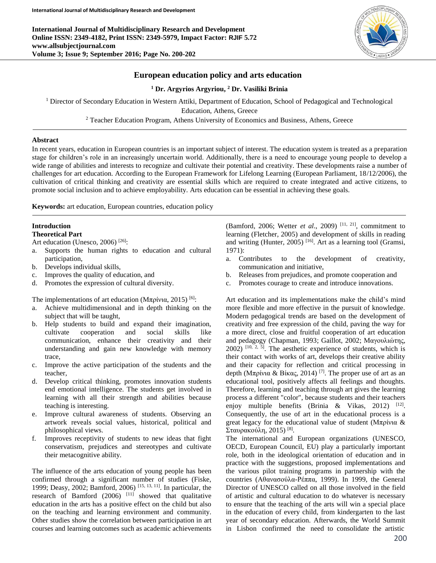**International Journal of Multidisciplinary Research and Development Online ISSN: 2349-4182, Print ISSN: 2349-5979, Impact Factor: RJIF 5.72 www.allsubjectjournal.com Volume 3; Issue 9; September 2016; Page No. 200-202**



## **European education policy and arts education**

**<sup>1</sup> Dr. Argyrios Argyriou, <sup>2</sup> Dr. Vasiliki Brinia**

<sup>1</sup> Director of Secondary Education in Western Attiki, Department of Education, School of Pedagogical and Technological

Education, Athens, Greece

<sup>2</sup> Teacher Education Program, Athens University of Economics and Business, Athens, Greece

#### **Abstract**

In recent years, education in European countries is an important subject of interest. The education system is treated as a preparation stage for children's role in an increasingly uncertain world. Additionally, there is a need to encourage young people to develop a wide range of abilities and interests to recognize and cultivate their potential and creativity. These developments raise a number of challenges for art education. According to the European Framework for Lifelong Learning (European Parliament, 18/12/2006), the cultivation of critical thinking and creativity are essential skills which are required to create integrated and active citizens, to promote social inclusion and to achieve employability. Arts education can be essential in achieving these goals.

**Keywords:** art education, European countries, education policy

# **Introduction**

**Theoretical Part**

- Art education (Unesco, 2006)<sup>[26]</sup>:
- a. Supports the human rights to education and cultural participation,
- b. Develops individual skills,
- c. Improves the quality of education, and
- d. Promotes the expression of cultural diversity.

The implementations of art education (Μπρίνια, 2015)<sup>[6]</sup>:

- a. Achieve multidimensional and in depth thinking on the subject that will be taught,
- b. Help students to build and expand their imagination, cultivate cooperation and social skills like communication, enhance their creativity and their understanding and gain new knowledge with memory trace,
- c. Improve the active participation of the students and the teacher,
- d. Develop critical thinking, promotes innovation students end emotional intelligence. The students get involved in learning with all their strength and abilities because teaching is interesting.
- e. Improve cultural awareness of students. Observing an artwork reveals social values, historical, political and philosophical views.
- f. Improves receptivity of students to new ideas that fight conservatism, prejudices and stereotypes and cultivate their metacognitive ability.

The influence of the arts education of young people has been confirmed through a significant number of studies (Fiske, 1999; Deasy, 2002; Bamford, 2006) [15, 13, 11] . In particular, the research of Bamford  $(2006)$ <sup>[11]</sup> showed that qualitative education in the arts has a positive effect on the child but also on the teaching and learning environment and community. Other studies show the correlation between participation in art courses and learning outcomes such as academic achievements

(Bamford, 2006; Wetter *et al.*, 2009)<sup>[11, 21]</sup>, commitment to learning (Fletcher, 2005) and development of skills in reading and writing (Hunter, 2005)<sup>[16]</sup>. Art as a learning tool (Gramsi, 1971):

- a. Contributes to the development of creativity, communication and initiative,
- b. Releases from prejudices, and promote cooperation and
- c. Promotes courage to create and introduce innovations.

Art education and its implementations make the child's mind more flexible and more effective in the pursuit of knowledge. Modern pedagogical trends are based on the development of creativity and free expression of the child, paving the way for a more direct, close and fruitful cooperation of art education and pedagogy (Chapman, 1993; Gaillot, 2002; Μαγουλιώτης,  $2002$ )  $[10, 2, 5]$ . The aesthetic experience of students, which is their contact with works of art, develops their creative ability and their capacity for reflection and critical processing in depth (Μπρίνια & Βίκας, 2014)<sup>[7]</sup>. The proper use of art as an educational tool, positively affects all feelings and thoughts. Therefore, learning and teaching through art gives the learning process a different "color", because students and their teachers enjoy multiple benefits (Brinia & Vikas, 2012) <sup>[12]</sup>. Consequently, the use of art in the educational process is a great legacy for the educational value of student (Μπρίνια & Σταυρακούλη, 2015) [8] .

The international and European organizations (UNESCO, OECD, European Council, EU) play a particularly important role, both in the ideological orientation of education and in practice with the suggestions, proposed implementations and the various pilot training programs in partnership with the countries (Αθανασούλα-Ρέππα, 1999). In 1999, the General Director of UNESCO called on all those involved in the field of artistic and cultural education to do whatever is necessary to ensure that the teaching of the arts will win a special place in the education of every child, from kindergarten to the last year of secondary education. Afterwards, the World Summit in Lisbon confirmed the need to consolidate the artistic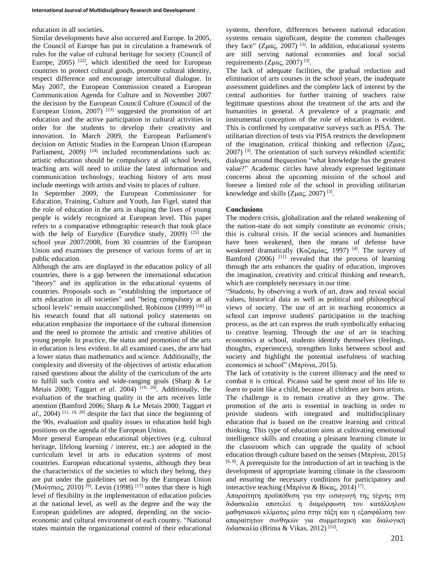### education in all societies.

Similar developments have also occurred and Europe. In 2005, the Council of Europe has put in circulation a framework of rules for the value of cultural heritage for society (Council of Europe,  $2005$ ) <sup>[22]</sup>, which identified the need for European countries to protect cultural goods, promote cultural identity, respect difference and encourage intercultural dialogue. In May 2007, the European Commission created a European Communication Agenda for Culture and in November 2007 the decision by the European Council Culture (Council of the European Union, 2007)<sup>[23]</sup> suggested the promotion of art education and the active participation in cultural activities in order for the students to develop their creativity and innovation. In March 2009, the European Parliament's decision on Artistic Studies in the European Union (European Parliament, 2009)<sup>[24]</sup> included recommendations such as: artistic education should be compulsory at all school levels, teaching arts will need to utilize the latest information and communication technology, teaching history of arts must include meetings with artists and visits to places of culture.

In September 2009, the European Commissioner for Education, Training, Culture and Youth, Jan Figel, stated that the role of education in the arts in shaping the lives of young people is widely recognized at European level. This paper refers to a comparative ethnographic research that took place with the help of Eurydice (Eurydice study, 2009)  $[25]$  the school year 2007/2008, from 30 countries of the European Union and examines the presence of various forms of art in public education.

Although the arts are displayed in the education policy of all countries, there is a gap between the international education "theory" and its application in the educational systems of countries. Proposals such as "establishing the importance of arts education in all societies" and "being compulsory at all school levels" remain unaccomplished. Robinson (1999)<sup>[18]</sup> in his research found that all national policy statements on education emphasize the importance of the cultural dimension and the need to promote the artistic and creative abilities of young people. In practice, the status and promotion of the arts in education is less evident. In all examined cases, the arts had a lower status than mathematics and science. Additionally, the complexity and diversity of the objectives of artistic education raised questions about the ability of the curriculum of the arts to fulfill such contra and wide-ranging goals (Sharp & Le Metais 2000; Taggart *et al.* 2004)<sup>[19, 20]</sup>. Additionally, the evaluation of the teaching quality in the arts receives little attention (Bamford 2006; Sharp & Le Metais 2000; Taggart *et*   $al$ , 2004)<sup>[11, 19, 20] despite the fact that since the beginning of</sup> the 90s, evaluation and quality issues in education hold high positions on the agenda of the European Union.

More general European educational objectives (e.g. cultural heritage, lifelong learning / interest, etc.) are adopted in the curriculum level in arts in education systems of most countries. European educational systems, although they bear the characteristics of the societies to which they belong, they are put under the guidelines set out by the European Union (Μούτσιος, 2010)<sup>[9]</sup>. Levin (1998)<sup>[17]</sup> notes that there is high level of flexibility in the implementation of education policies at the national level, as well as the degree and the way the European guidelines are adopted, depending on the socioeconomic and cultural environment of each country. "National states maintain the organizational control of their educational systems, therefore, differences between national education systems remain significant, despite the common challenges they face" (Zμας, 2007)<sup>[3]</sup>. In addition, educational systems are still serving national economies and local social requirements (Zμας, 2007)<sup>[3]</sup>.

The lack of adequate facilities, the gradual reduction and elimination of arts courses in the school years, the inadequate assessment guidelines and the complete lack of interest by the central authorities for further training of teachers raise legitimate questions about the treatment of the arts and the humanities in general. A prevalence of a pragmatic and instrumental conception of the role of education is evident. This is confirmed by comparative surveys such as PISA. The utilitarian direction of tests via PISA restricts the development of the imagination, critical thinking and reflection (Ζμας, 2007) [3] . The orientation of such surveys rekindled scientific dialogue around thequestion "what knowledge has the greatest value?" Academic circles have already expressed legitimate concerns about the upcoming mission of the school and foresee a limited role of the school in providing utilitarian knowledge and skills  $(Z\mu\alpha\zeta, 2007)^{[3]}$ .

## **Conclusions**

The modern crisis, globalization and the related weakening of the nation-state do not simply constitute an economic crisis; this is cultural crisis. If the social sciences and humanities have been weakened, then the means of defense have weakened dramatically (Καζαμίας, 1997)<sup>[4]</sup>. The survey of Bamford  $(2006)$ <sup>[11]</sup> revealed that the process of learning through the arts enhances the quality of education, improves the imagination, creativity and critical thinking and research, which are completely necessary in our time.

"Students, by observing a work of art, draw and reveal social values, historical data as well as political and philosophical views of society. The use of art in teaching economics at school can improve students' participation in the teaching process, as the art can express the truth symbolically enhacing to creative learning. Through the use of art in teaching economics at school, students identify themselves (feelings, thoughts, experiences), strengthen links between school and society and highlight the potential usefulness of teaching economics at school" (Mπρίνια, 2015).

The lack of creativity is the current illiteracy and the need to combat it is critical. Picasso said he spent most of his life to learn to paint like a child, because all children are born artists. The challenge is to remain creative as they grow. The promotion of the arts is essential in teaching in order to provide students with integrated and multidisciplinary education that is based on the creative learning and critical thinking. This type of education aims at cultivating emotional intelligence skills and creating a pleasant learning climate in the classroom which can upgrade the quality of school education through culture based on the senses (Μπρίνια, 2015)  $[6, 8]$ . A prerequisite for the introduction of art in teaching is the development of appropriate learning climate in the classroom and ensuring the necessary conditions for participatory and interactive teaching (Μπρίνια & Βίκας, 2014)<sup>[7]</sup>.

Απαραίτητη προϋπόθεση για την εισαγωγή της τέχνης στη διδασκαλία αποτελεί η διαμόρφωση του κατάλληλου μαθησιακού κλίματος μέσα στην τάξη και η εξασφάλιση των απαραίτητων συνθηκών για συμμετοχική και διαλογική διδασκαλία (Brinia & Vikas, 2012) [12] .